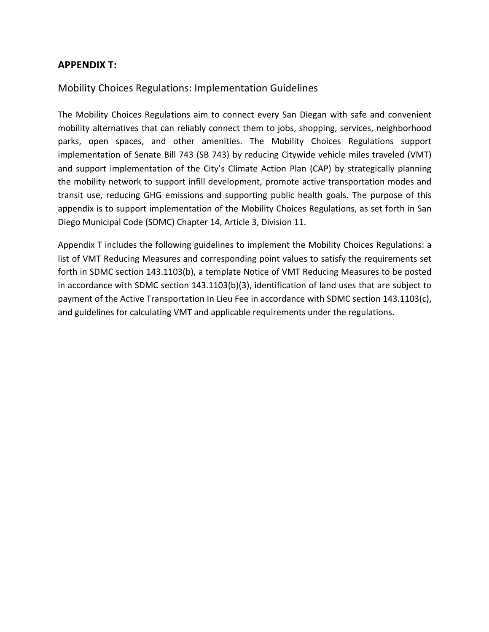## **APPENDIX T:**

## Mobility Choices Regulations: Implementation Guidelines

The Mobility Choices Regulations aim to connect every San Diegan with safe and convenient mobility alternatives that can reliably connect them to jobs, shopping, services, neighborhood parks, open spaces, and other amenities. The Mobility Choices Regulations support implementation of Senate Bill 743 (SB 743) by reducing Citywide vehicle miles traveled (VMT) and support implementation of the City's Climate Action Plan (CAP) by strategically planning the mobility network to support infill development, promote active transportation modes and transit use, reducing GHG emissions and supporting public health goals. The purpose of this appendix is to support implementation of the Mobility Choices Regulations, as set forth in San Diego Municipal Code (SDMC) Chapter 14, Article 3, Division 11.

Appendix T includes the following guidelines to implement the Mobility Choices Regulations: a list of VMT Reducing Measures and corresponding point values to satisfy the requirements set forth in SDMC section 143.1103(b), a template Notice of VMT Reducing Measures to be posted in accordance with SDMC section 143.1103(b)(3), identification of land uses that are subject to payment of the Active Transportation In Lieu Fee in accordance with SDMC section 143.1103(c), and guidelines for calculating VMT and applicable requirements under the regulations.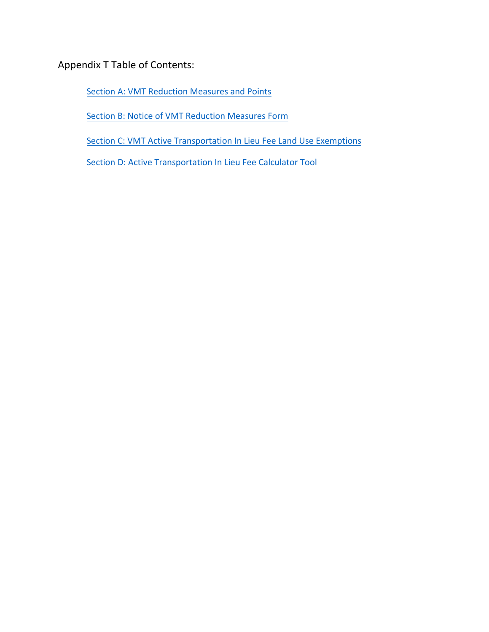Appendix T Table of Contents:

Section A: VMT Reduction Measures and Points

Section B: Notice of VMT Reduction Measures Form

Section C: VMT Active Transportation In Lieu Fee Land Use Exemptions

Section D: Active Transportation In Lieu Fee Calculator Tool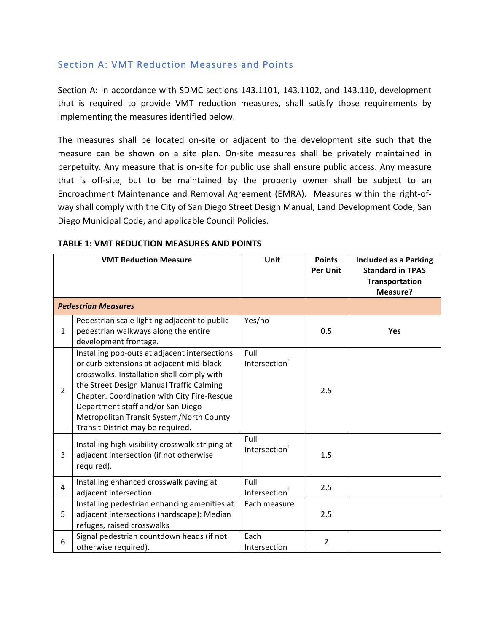## Section A: VMT Reduction Measures and Points

Section A: In accordance with SDMC sections 143.1101, 143.1102, and 143.110, development that is required to provide VMT reduction measures, shall satisfy those requirements by implementing the measures identified below.

The measures shall be located on-site or adjacent to the development site such that the measure can be shown on a site plan. On-site measures shall be privately maintained in perpetuity. Any measure that is on-site for public use shall ensure public access. Any measure that is off-site, but to be maintained by the property owner shall be subject to an Encroachment Maintenance and Removal Agreement (EMRA). Measures within the right-ofway shall comply with the City of San Diego Street Design Manual, Land Development Code, San Diego Municipal Code, and applicable Council Policies.

|                | <b>VMT Reduction Measure</b>                                                                                                                                                                                                                                                                                                                             | Unit                              | <b>Points</b><br><b>Per Unit</b> | <b>Included as a Parking</b><br><b>Standard in TPAS</b><br>Transportation<br>Measure? |  |  |
|----------------|----------------------------------------------------------------------------------------------------------------------------------------------------------------------------------------------------------------------------------------------------------------------------------------------------------------------------------------------------------|-----------------------------------|----------------------------------|---------------------------------------------------------------------------------------|--|--|
|                | <b>Pedestrian Measures</b>                                                                                                                                                                                                                                                                                                                               |                                   |                                  |                                                                                       |  |  |
| $\mathbf{1}$   | Pedestrian scale lighting adjacent to public<br>pedestrian walkways along the entire<br>development frontage.                                                                                                                                                                                                                                            | Yes/no                            | 0.5                              | Yes                                                                                   |  |  |
| $\overline{2}$ | Installing pop-outs at adjacent intersections<br>or curb extensions at adjacent mid-block<br>crosswalks. Installation shall comply with<br>the Street Design Manual Traffic Calming<br>Chapter. Coordination with City Fire-Rescue<br>Department staff and/or San Diego<br>Metropolitan Transit System/North County<br>Transit District may be required. | Full<br>Intersection <sup>1</sup> | 2.5                              |                                                                                       |  |  |
| 3              | Installing high-visibility crosswalk striping at<br>adjacent intersection (if not otherwise<br>required).                                                                                                                                                                                                                                                | Full<br>Intersection $1$          | 1.5                              |                                                                                       |  |  |
| 4              | Installing enhanced crosswalk paving at<br>adjacent intersection.                                                                                                                                                                                                                                                                                        | Full<br>Intersection <sup>1</sup> | 2.5                              |                                                                                       |  |  |
| 5              | Installing pedestrian enhancing amenities at<br>adjacent intersections (hardscape): Median<br>refuges, raised crosswalks                                                                                                                                                                                                                                 | Each measure                      | 2.5                              |                                                                                       |  |  |
| 6              | Signal pedestrian countdown heads (if not<br>otherwise required).                                                                                                                                                                                                                                                                                        | Each<br>Intersection              | $\overline{2}$                   |                                                                                       |  |  |

#### **TABLE 1: VMT REDUCTION MEASURES AND POINTS**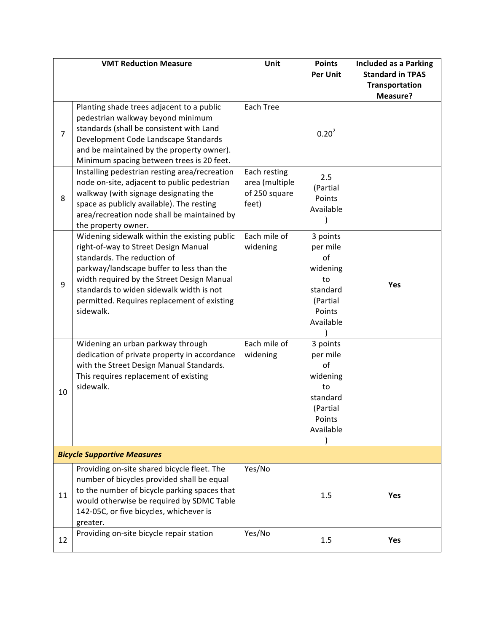|                | <b>VMT Reduction Measure</b>                                                                                                                                                                                                                                                                                           | Unit                                                     | <b>Points</b><br><b>Per Unit</b>                                                            | <b>Included as a Parking</b><br><b>Standard in TPAS</b><br><b>Transportation</b> |  |
|----------------|------------------------------------------------------------------------------------------------------------------------------------------------------------------------------------------------------------------------------------------------------------------------------------------------------------------------|----------------------------------------------------------|---------------------------------------------------------------------------------------------|----------------------------------------------------------------------------------|--|
| $\overline{7}$ | Planting shade trees adjacent to a public<br>pedestrian walkway beyond minimum<br>standards (shall be consistent with Land<br>Development Code Landscape Standards<br>and be maintained by the property owner).<br>Minimum spacing between trees is 20 feet.                                                           | Each Tree                                                | 0.20 <sup>2</sup>                                                                           | Measure?                                                                         |  |
| 8              | Installing pedestrian resting area/recreation<br>node on-site, adjacent to public pedestrian<br>walkway (with signage designating the<br>space as publicly available). The resting<br>area/recreation node shall be maintained by<br>the property owner.                                                               | Each resting<br>area (multiple<br>of 250 square<br>feet) | 2.5<br>(Partial<br>Points<br>Available                                                      |                                                                                  |  |
| 9              | Widening sidewalk within the existing public<br>right-of-way to Street Design Manual<br>standards. The reduction of<br>parkway/landscape buffer to less than the<br>width required by the Street Design Manual<br>standards to widen sidewalk width is not<br>permitted. Requires replacement of existing<br>sidewalk. | Each mile of<br>widening                                 | 3 points<br>per mile<br>of<br>widening<br>to<br>standard<br>(Partial<br>Points<br>Available | Yes                                                                              |  |
| 10             | Widening an urban parkway through<br>dedication of private property in accordance<br>with the Street Design Manual Standards.<br>This requires replacement of existing<br>sidewalk.                                                                                                                                    | Each mile of<br>widening                                 | 3 points<br>per mile<br>of<br>widening<br>to<br>standard<br>(Partial<br>Points<br>Available |                                                                                  |  |
|                | <b>Bicycle Supportive Measures</b>                                                                                                                                                                                                                                                                                     |                                                          |                                                                                             |                                                                                  |  |
| 11             | Providing on-site shared bicycle fleet. The<br>number of bicycles provided shall be equal<br>to the number of bicycle parking spaces that<br>would otherwise be required by SDMC Table<br>142-05C, or five bicycles, whichever is<br>greater.                                                                          | Yes/No                                                   | 1.5                                                                                         | Yes                                                                              |  |
| 12             | Providing on-site bicycle repair station                                                                                                                                                                                                                                                                               | Yes/No                                                   | 1.5                                                                                         | Yes                                                                              |  |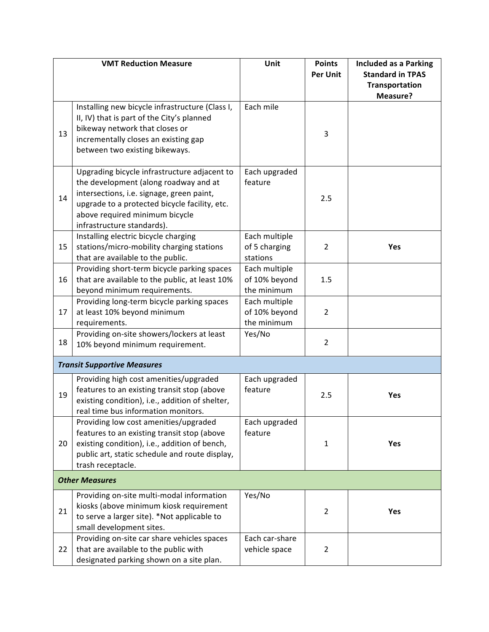| <b>VMT Reduction Measure</b>                 | Unit                                                                                                                                                                                                                                                                                                                                                                                                                                                                                                                                                                                                                                                                                                                                                                                                                                                                                                                                                                                                                                                                                                    | <b>Points</b>                                                                                                                           | <b>Included as a Parking</b>                       |  |
|----------------------------------------------|---------------------------------------------------------------------------------------------------------------------------------------------------------------------------------------------------------------------------------------------------------------------------------------------------------------------------------------------------------------------------------------------------------------------------------------------------------------------------------------------------------------------------------------------------------------------------------------------------------------------------------------------------------------------------------------------------------------------------------------------------------------------------------------------------------------------------------------------------------------------------------------------------------------------------------------------------------------------------------------------------------------------------------------------------------------------------------------------------------|-----------------------------------------------------------------------------------------------------------------------------------------|----------------------------------------------------|--|
|                                              |                                                                                                                                                                                                                                                                                                                                                                                                                                                                                                                                                                                                                                                                                                                                                                                                                                                                                                                                                                                                                                                                                                         | <b>Per Unit</b>                                                                                                                         | <b>Standard in TPAS</b>                            |  |
|                                              |                                                                                                                                                                                                                                                                                                                                                                                                                                                                                                                                                                                                                                                                                                                                                                                                                                                                                                                                                                                                                                                                                                         |                                                                                                                                         | <b>Transportation</b>                              |  |
|                                              |                                                                                                                                                                                                                                                                                                                                                                                                                                                                                                                                                                                                                                                                                                                                                                                                                                                                                                                                                                                                                                                                                                         |                                                                                                                                         | Measure?                                           |  |
|                                              |                                                                                                                                                                                                                                                                                                                                                                                                                                                                                                                                                                                                                                                                                                                                                                                                                                                                                                                                                                                                                                                                                                         |                                                                                                                                         |                                                    |  |
|                                              |                                                                                                                                                                                                                                                                                                                                                                                                                                                                                                                                                                                                                                                                                                                                                                                                                                                                                                                                                                                                                                                                                                         |                                                                                                                                         |                                                    |  |
|                                              |                                                                                                                                                                                                                                                                                                                                                                                                                                                                                                                                                                                                                                                                                                                                                                                                                                                                                                                                                                                                                                                                                                         | 3                                                                                                                                       |                                                    |  |
|                                              |                                                                                                                                                                                                                                                                                                                                                                                                                                                                                                                                                                                                                                                                                                                                                                                                                                                                                                                                                                                                                                                                                                         |                                                                                                                                         |                                                    |  |
|                                              |                                                                                                                                                                                                                                                                                                                                                                                                                                                                                                                                                                                                                                                                                                                                                                                                                                                                                                                                                                                                                                                                                                         |                                                                                                                                         |                                                    |  |
| Upgrading bicycle infrastructure adjacent to | Each upgraded                                                                                                                                                                                                                                                                                                                                                                                                                                                                                                                                                                                                                                                                                                                                                                                                                                                                                                                                                                                                                                                                                           |                                                                                                                                         |                                                    |  |
| the development (along roadway and at        | feature                                                                                                                                                                                                                                                                                                                                                                                                                                                                                                                                                                                                                                                                                                                                                                                                                                                                                                                                                                                                                                                                                                 |                                                                                                                                         |                                                    |  |
| intersections, i.e. signage, green paint,    |                                                                                                                                                                                                                                                                                                                                                                                                                                                                                                                                                                                                                                                                                                                                                                                                                                                                                                                                                                                                                                                                                                         |                                                                                                                                         |                                                    |  |
|                                              |                                                                                                                                                                                                                                                                                                                                                                                                                                                                                                                                                                                                                                                                                                                                                                                                                                                                                                                                                                                                                                                                                                         |                                                                                                                                         |                                                    |  |
|                                              |                                                                                                                                                                                                                                                                                                                                                                                                                                                                                                                                                                                                                                                                                                                                                                                                                                                                                                                                                                                                                                                                                                         |                                                                                                                                         |                                                    |  |
|                                              |                                                                                                                                                                                                                                                                                                                                                                                                                                                                                                                                                                                                                                                                                                                                                                                                                                                                                                                                                                                                                                                                                                         |                                                                                                                                         |                                                    |  |
|                                              |                                                                                                                                                                                                                                                                                                                                                                                                                                                                                                                                                                                                                                                                                                                                                                                                                                                                                                                                                                                                                                                                                                         |                                                                                                                                         | Yes                                                |  |
|                                              |                                                                                                                                                                                                                                                                                                                                                                                                                                                                                                                                                                                                                                                                                                                                                                                                                                                                                                                                                                                                                                                                                                         |                                                                                                                                         |                                                    |  |
|                                              |                                                                                                                                                                                                                                                                                                                                                                                                                                                                                                                                                                                                                                                                                                                                                                                                                                                                                                                                                                                                                                                                                                         |                                                                                                                                         |                                                    |  |
|                                              |                                                                                                                                                                                                                                                                                                                                                                                                                                                                                                                                                                                                                                                                                                                                                                                                                                                                                                                                                                                                                                                                                                         |                                                                                                                                         |                                                    |  |
|                                              | the minimum                                                                                                                                                                                                                                                                                                                                                                                                                                                                                                                                                                                                                                                                                                                                                                                                                                                                                                                                                                                                                                                                                             |                                                                                                                                         |                                                    |  |
| Providing long-term bicycle parking spaces   | Each multiple                                                                                                                                                                                                                                                                                                                                                                                                                                                                                                                                                                                                                                                                                                                                                                                                                                                                                                                                                                                                                                                                                           |                                                                                                                                         |                                                    |  |
| at least 10% beyond minimum                  | of 10% beyond                                                                                                                                                                                                                                                                                                                                                                                                                                                                                                                                                                                                                                                                                                                                                                                                                                                                                                                                                                                                                                                                                           | $\overline{2}$                                                                                                                          |                                                    |  |
| requirements.                                | the minimum                                                                                                                                                                                                                                                                                                                                                                                                                                                                                                                                                                                                                                                                                                                                                                                                                                                                                                                                                                                                                                                                                             |                                                                                                                                         |                                                    |  |
| Providing on-site showers/lockers at least   | Yes/No                                                                                                                                                                                                                                                                                                                                                                                                                                                                                                                                                                                                                                                                                                                                                                                                                                                                                                                                                                                                                                                                                                  |                                                                                                                                         |                                                    |  |
|                                              |                                                                                                                                                                                                                                                                                                                                                                                                                                                                                                                                                                                                                                                                                                                                                                                                                                                                                                                                                                                                                                                                                                         |                                                                                                                                         |                                                    |  |
| <b>Transit Supportive Measures</b>           |                                                                                                                                                                                                                                                                                                                                                                                                                                                                                                                                                                                                                                                                                                                                                                                                                                                                                                                                                                                                                                                                                                         |                                                                                                                                         |                                                    |  |
| Providing high cost amenities/upgraded       | Each upgraded                                                                                                                                                                                                                                                                                                                                                                                                                                                                                                                                                                                                                                                                                                                                                                                                                                                                                                                                                                                                                                                                                           |                                                                                                                                         |                                                    |  |
| features to an existing transit stop (above  | feature                                                                                                                                                                                                                                                                                                                                                                                                                                                                                                                                                                                                                                                                                                                                                                                                                                                                                                                                                                                                                                                                                                 |                                                                                                                                         | Yes                                                |  |
|                                              |                                                                                                                                                                                                                                                                                                                                                                                                                                                                                                                                                                                                                                                                                                                                                                                                                                                                                                                                                                                                                                                                                                         |                                                                                                                                         |                                                    |  |
|                                              |                                                                                                                                                                                                                                                                                                                                                                                                                                                                                                                                                                                                                                                                                                                                                                                                                                                                                                                                                                                                                                                                                                         |                                                                                                                                         |                                                    |  |
|                                              |                                                                                                                                                                                                                                                                                                                                                                                                                                                                                                                                                                                                                                                                                                                                                                                                                                                                                                                                                                                                                                                                                                         |                                                                                                                                         |                                                    |  |
|                                              |                                                                                                                                                                                                                                                                                                                                                                                                                                                                                                                                                                                                                                                                                                                                                                                                                                                                                                                                                                                                                                                                                                         |                                                                                                                                         |                                                    |  |
|                                              |                                                                                                                                                                                                                                                                                                                                                                                                                                                                                                                                                                                                                                                                                                                                                                                                                                                                                                                                                                                                                                                                                                         |                                                                                                                                         | Yes                                                |  |
|                                              |                                                                                                                                                                                                                                                                                                                                                                                                                                                                                                                                                                                                                                                                                                                                                                                                                                                                                                                                                                                                                                                                                                         |                                                                                                                                         |                                                    |  |
|                                              |                                                                                                                                                                                                                                                                                                                                                                                                                                                                                                                                                                                                                                                                                                                                                                                                                                                                                                                                                                                                                                                                                                         |                                                                                                                                         |                                                    |  |
| <b>Other Measures</b>                        |                                                                                                                                                                                                                                                                                                                                                                                                                                                                                                                                                                                                                                                                                                                                                                                                                                                                                                                                                                                                                                                                                                         |                                                                                                                                         |                                                    |  |
| Providing on-site multi-modal information    | Yes/No                                                                                                                                                                                                                                                                                                                                                                                                                                                                                                                                                                                                                                                                                                                                                                                                                                                                                                                                                                                                                                                                                                  |                                                                                                                                         |                                                    |  |
|                                              |                                                                                                                                                                                                                                                                                                                                                                                                                                                                                                                                                                                                                                                                                                                                                                                                                                                                                                                                                                                                                                                                                                         |                                                                                                                                         | Yes                                                |  |
|                                              |                                                                                                                                                                                                                                                                                                                                                                                                                                                                                                                                                                                                                                                                                                                                                                                                                                                                                                                                                                                                                                                                                                         |                                                                                                                                         |                                                    |  |
|                                              |                                                                                                                                                                                                                                                                                                                                                                                                                                                                                                                                                                                                                                                                                                                                                                                                                                                                                                                                                                                                                                                                                                         |                                                                                                                                         |                                                    |  |
|                                              |                                                                                                                                                                                                                                                                                                                                                                                                                                                                                                                                                                                                                                                                                                                                                                                                                                                                                                                                                                                                                                                                                                         |                                                                                                                                         |                                                    |  |
| that are available to the public with        | vehicle space                                                                                                                                                                                                                                                                                                                                                                                                                                                                                                                                                                                                                                                                                                                                                                                                                                                                                                                                                                                                                                                                                           | 2                                                                                                                                       |                                                    |  |
|                                              | Installing new bicycle infrastructure (Class I,<br>II, IV) that is part of the City's planned<br>bikeway network that closes or<br>incrementally closes an existing gap<br>between two existing bikeways.<br>upgrade to a protected bicycle facility, etc.<br>above required minimum bicycle<br>infrastructure standards).<br>Installing electric bicycle charging<br>stations/micro-mobility charging stations<br>that are available to the public.<br>Providing short-term bicycle parking spaces<br>that are available to the public, at least 10%<br>beyond minimum requirements.<br>10% beyond minimum requirement.<br>existing condition), i.e., addition of shelter,<br>real time bus information monitors.<br>Providing low cost amenities/upgraded<br>features to an existing transit stop (above<br>existing condition), i.e., addition of bench,<br>public art, static schedule and route display,<br>trash receptacle.<br>kiosks (above minimum kiosk requirement<br>to serve a larger site). *Not applicable to<br>small development sites.<br>Providing on-site car share vehicles spaces | Each mile<br>Each multiple<br>of 5 charging<br>stations<br>Each multiple<br>of 10% beyond<br>Each upgraded<br>feature<br>Each car-share | 2.5<br>2<br>1.5<br>$\overline{2}$<br>2.5<br>1<br>2 |  |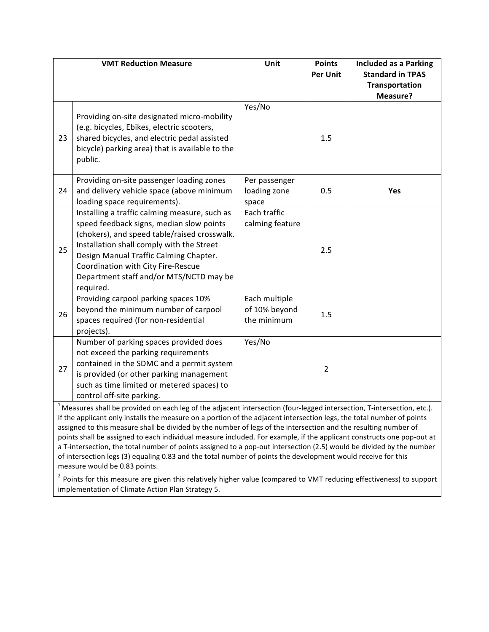|                                                                                                                                                                                                                                                    | <b>VMT Reduction Measure</b>                                                                                                                                                                                                                                                                                                   | Unit                                          | <b>Points</b><br><b>Per Unit</b> | <b>Included as a Parking</b><br><b>Standard in TPAS</b><br>Transportation<br>Measure? |
|----------------------------------------------------------------------------------------------------------------------------------------------------------------------------------------------------------------------------------------------------|--------------------------------------------------------------------------------------------------------------------------------------------------------------------------------------------------------------------------------------------------------------------------------------------------------------------------------|-----------------------------------------------|----------------------------------|---------------------------------------------------------------------------------------|
| 23                                                                                                                                                                                                                                                 | Providing on-site designated micro-mobility<br>(e.g. bicycles, Ebikes, electric scooters,<br>shared bicycles, and electric pedal assisted<br>bicycle) parking area) that is available to the<br>public.                                                                                                                        | Yes/No                                        | 1.5                              |                                                                                       |
| 24                                                                                                                                                                                                                                                 | Providing on-site passenger loading zones<br>and delivery vehicle space (above minimum<br>loading space requirements).                                                                                                                                                                                                         | Per passenger<br>loading zone<br>space        | 0.5                              | Yes                                                                                   |
| 25                                                                                                                                                                                                                                                 | Installing a traffic calming measure, such as<br>speed feedback signs, median slow points<br>(chokers), and speed table/raised crosswalk.<br>Installation shall comply with the Street<br>Design Manual Traffic Calming Chapter.<br>Coordination with City Fire-Rescue<br>Department staff and/or MTS/NCTD may be<br>required. | Each traffic<br>calming feature               | 2.5                              |                                                                                       |
| 26                                                                                                                                                                                                                                                 | Providing carpool parking spaces 10%<br>beyond the minimum number of carpool<br>spaces required (for non-residential<br>projects).                                                                                                                                                                                             | Each multiple<br>of 10% beyond<br>the minimum | 1.5                              |                                                                                       |
| 27                                                                                                                                                                                                                                                 | Number of parking spaces provided does<br>not exceed the parking requirements<br>contained in the SDMC and a permit system<br>is provided (or other parking management<br>such as time limited or metered spaces) to<br>control off-site parking.                                                                              | Yes/No                                        | $\overline{2}$                   |                                                                                       |
| $1$ Measures shall be provided on each leg of the adjacent intersection (four-legged intersection, T-intersection, etc.).<br>If the applicant only installs the measure on a portion of the adjacent intersection legs, the total number of points |                                                                                                                                                                                                                                                                                                                                |                                               |                                  |                                                                                       |

assigned to this measure shall be divided by the number of legs of the intersection and the resulting number of points shall be assigned to each individual measure included. For example, if the applicant constructs one pop-out at a T-intersection, the total number of points assigned to a pop-out intersection (2.5) would be divided by the number of intersection legs (3) equaling 0.83 and the total number of points the development would receive for this measure would be 0.83 points.

 $2$  Points for this measure are given this relatively higher value (compared to VMT reducing effectiveness) to support implementation of Climate Action Plan Strategy 5.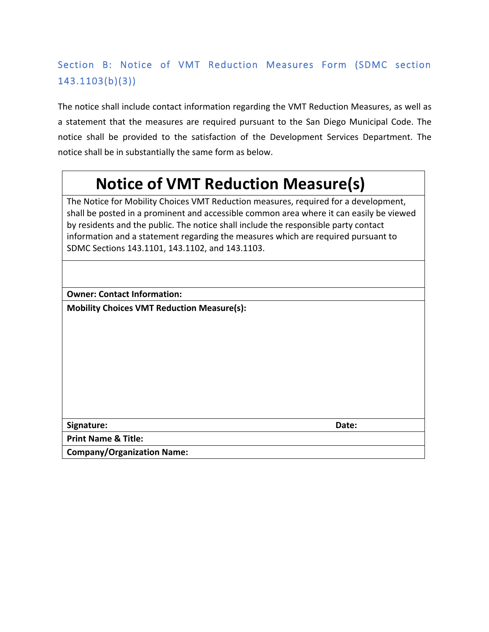# Section B: Notice of VMT Reduction Measures Form (SDMC section 143.1103(b)(3))

The notice shall include contact information regarding the VMT Reduction Measures, as well as a statement that the measures are required pursuant to the San Diego Municipal Code. The notice shall be provided to the satisfaction of the Development Services Department. The notice shall be in substantially the same form as below.

# **Notice of VMT Reduction Measure(s)**

The Notice for Mobility Choices VMT Reduction measures, required for a development, shall be posted in a prominent and accessible common area where it can easily be viewed by residents and the public. The notice shall include the responsible party contact information and a statement regarding the measures which are required pursuant to SDMC Sections 143.1101, 143.1102, and 143.1103.

**Owner: Contact Information:** 

**Mobility Choices VMT Reduction Measure(s):** 

**Signature: Date:**

**Print Name & Title:** 

**Company/Organization Name:**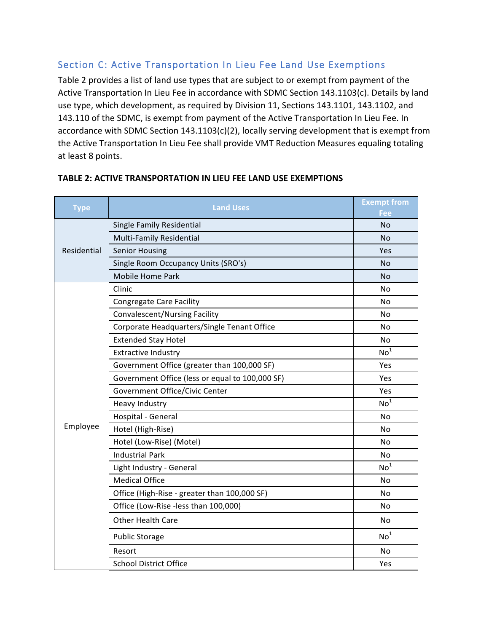## Section C: Active Transportation In Lieu Fee Land Use Exemptions

Table 2 provides a list of land use types that are subject to or exempt from payment of the Active Transportation In Lieu Fee in accordance with SDMC Section 143.1103(c). Details by land use type, which development, as required by Division 11, Sections 143.1101, 143.1102, and 143.110 of the SDMC, is exempt from payment of the Active Transportation In Lieu Fee. In accordance with SDMC Section  $143.1103(c)(2)$ , locally serving development that is exempt from the Active Transportation In Lieu Fee shall provide VMT Reduction Measures equaling totaling at least 8 points.

| <b>Type</b> | <b>Land Uses</b>                                | <b>Exempt from</b><br>Fee |
|-------------|-------------------------------------------------|---------------------------|
|             | Single Family Residential                       | No                        |
|             | Multi-Family Residential                        | No                        |
| Residential | <b>Senior Housing</b>                           | Yes                       |
|             | Single Room Occupancy Units (SRO's)             | <b>No</b>                 |
|             | <b>Mobile Home Park</b>                         | No                        |
|             | Clinic                                          | No                        |
|             | <b>Congregate Care Facility</b>                 | No                        |
|             | <b>Convalescent/Nursing Facility</b>            | No                        |
|             | Corporate Headquarters/Single Tenant Office     | No                        |
|             | <b>Extended Stay Hotel</b>                      | No                        |
|             | <b>Extractive Industry</b>                      | No <sup>1</sup>           |
|             | Government Office (greater than 100,000 SF)     | Yes                       |
|             | Government Office (less or equal to 100,000 SF) | Yes                       |
|             | Government Office/Civic Center                  | Yes                       |
|             | Heavy Industry                                  | No <sup>1</sup>           |
|             | Hospital - General                              | No                        |
| Employee    | Hotel (High-Rise)                               | No                        |
|             | Hotel (Low-Rise) (Motel)                        | No                        |
|             | <b>Industrial Park</b>                          | No                        |
|             | Light Industry - General                        | No <sup>1</sup>           |
|             | <b>Medical Office</b>                           | No                        |
|             | Office (High-Rise - greater than 100,000 SF)    | No                        |
|             | Office (Low-Rise -less than 100,000)            | No                        |
|             | Other Health Care                               | No                        |
|             | <b>Public Storage</b>                           | No <sup>1</sup>           |
|             | Resort                                          | No                        |
|             | <b>School District Office</b>                   | Yes                       |

### **TABLE 2: ACTIVE TRANSPORTATION IN LIEU FEE LAND USE EXEMPTIONS**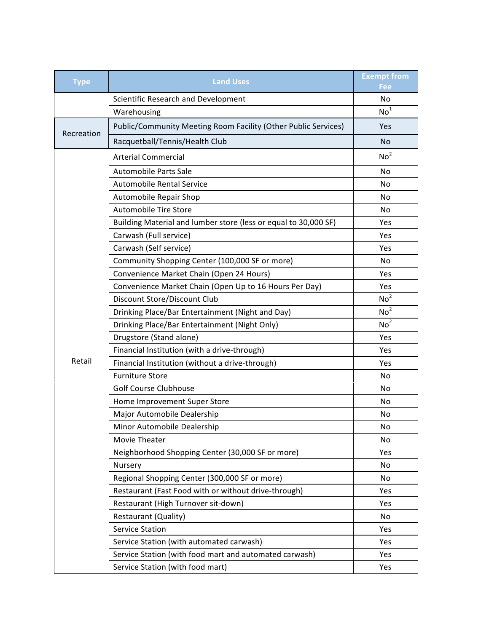| <b>Type</b> | <b>Land Uses</b>                                                | <b>Exempt from</b><br>Fee |
|-------------|-----------------------------------------------------------------|---------------------------|
|             | Scientific Research and Development                             | N <sub>o</sub>            |
|             | Warehousing                                                     | No <sup>1</sup>           |
| Recreation  | Public/Community Meeting Room Facility (Other Public Services)  | Yes                       |
|             | Racquetball/Tennis/Health Club                                  | No                        |
|             | <b>Arterial Commercial</b>                                      | No <sup>2</sup>           |
|             | <b>Automobile Parts Sale</b>                                    | No                        |
|             | <b>Automobile Rental Service</b>                                | No                        |
|             | Automobile Repair Shop                                          | No                        |
|             | <b>Automobile Tire Store</b>                                    | No                        |
|             | Building Material and lumber store (less or equal to 30,000 SF) | Yes                       |
|             | Carwash (Full service)                                          | Yes                       |
|             | Carwash (Self service)                                          | Yes                       |
|             | Community Shopping Center (100,000 SF or more)                  | No                        |
|             | Convenience Market Chain (Open 24 Hours)                        | Yes                       |
|             | Convenience Market Chain (Open Up to 16 Hours Per Day)          | Yes                       |
|             | Discount Store/Discount Club                                    | No <sup>2</sup>           |
|             | Drinking Place/Bar Entertainment (Night and Day)                | No <sup>2</sup>           |
|             | Drinking Place/Bar Entertainment (Night Only)                   | No <sup>2</sup>           |
|             | Drugstore (Stand alone)                                         | Yes                       |
|             | Financial Institution (with a drive-through)                    | Yes                       |
| Retail      | Financial Institution (without a drive-through)                 | Yes                       |
|             | <b>Furniture Store</b>                                          | N <sub>o</sub>            |
|             | <b>Golf Course Clubhouse</b>                                    | No                        |
|             | Home Improvement Super Store                                    | No                        |
|             | Major Automobile Dealership                                     | No                        |
|             | Minor Automobile Dealership                                     | No                        |
|             | Movie Theater                                                   | No                        |
|             | Neighborhood Shopping Center (30,000 SF or more)                | Yes                       |
|             | Nursery                                                         | No                        |
|             | Regional Shopping Center (300,000 SF or more)                   | No                        |
|             | Restaurant (Fast Food with or without drive-through)            | Yes                       |
|             | Restaurant (High Turnover sit-down)                             | Yes                       |
|             | Restaurant (Quality)                                            | No                        |
|             | <b>Service Station</b>                                          | Yes                       |
|             | Service Station (with automated carwash)                        | Yes                       |
|             | Service Station (with food mart and automated carwash)          | Yes                       |
|             | Service Station (with food mart)                                | Yes                       |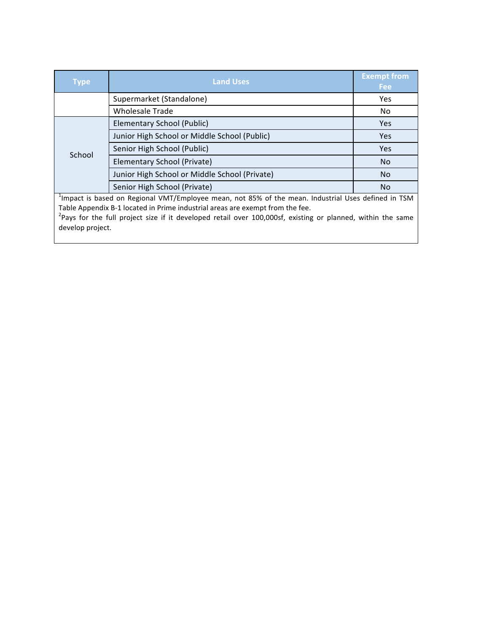| <b>Type</b>                                                                                                     | <b>Land Uses</b>                              | <b>Exempt from</b><br><b>Fee</b> |  |
|-----------------------------------------------------------------------------------------------------------------|-----------------------------------------------|----------------------------------|--|
|                                                                                                                 | Supermarket (Standalone)                      | Yes                              |  |
|                                                                                                                 | <b>Wholesale Trade</b>                        | No                               |  |
|                                                                                                                 | Elementary School (Public)                    | Yes                              |  |
|                                                                                                                 | Junior High School or Middle School (Public)  | Yes                              |  |
| School                                                                                                          | Senior High School (Public)                   | Yes                              |  |
|                                                                                                                 | Elementary School (Private)                   | <b>No</b>                        |  |
|                                                                                                                 | Junior High School or Middle School (Private) | <b>No</b>                        |  |
|                                                                                                                 | Senior High School (Private)                  | No.                              |  |
| <sup>1</sup> Impact is based on Regional VMT/Employee mean, not 85% of the mean. Industrial Uses defined in TSM |                                               |                                  |  |
| Table Appendix B-1 located in Prime industrial areas are exempt from the fee.                                   |                                               |                                  |  |

Table Appendix B-1 located in Prime industrial areas are exempt from the fee.<br><sup>2</sup>Pays for the full project size if it developed retail over 100,000sf, existing or planned, within the same develop project.